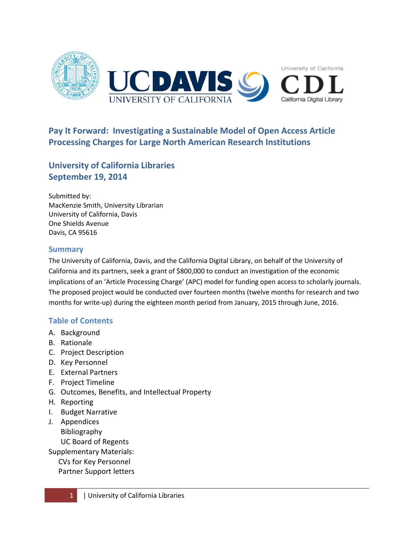

# **University of California Libraries September 19, 2014**

Submitted by: MacKenzie Smith, University Librarian University of California, Davis One Shields Avenue Davis, CA 95616

## **Summary**

The University of California, Davis, and the California Digital Library, on behalf of the University of California and its partners, seek a grant of \$800,000 to conduct an investigation of the economic implications of an 'Article Processing Charge' (APC) model for funding open access to scholarly journals. The proposed project would be conducted over fourteen months (twelve months for research and two months for write-up) during the eighteen month period from January, 2015 through June, 2016.

# **Table of Contents**

- A. Background
- B. Rationale
- C. Project Description
- D. Key Personnel
- E. External Partners
- F. Project Timeline
- G. Outcomes, Benefits, and Intellectual Property
- H. Reporting
- I. Budget Narrative
- J. Appendices Bibliography UC Board of Regents
- Supplementary Materials:
	- CVs for Key Personnel
	- Partner Support letters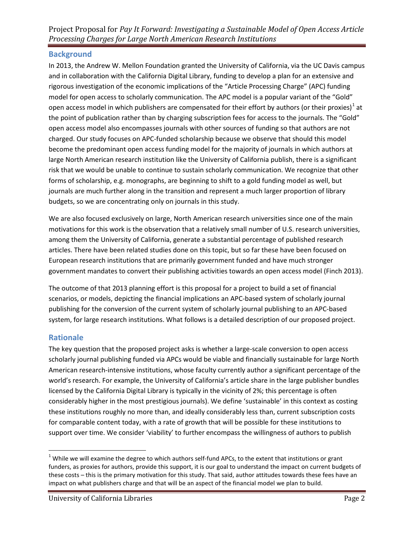# **Background**

In 2013, the Andrew W. Mellon Foundation granted the University of California, via the UC Davis campus and in collaboration with the California Digital Library, funding to develop a plan for an extensive and rigorous investigation of the economic implications of the "Article Processing Charge" (APC) funding model for open access to scholarly communication. The APC model is a popular variant of the "Gold" open access model in which publishers are compensated for their effort by authors (or their proxies)<sup>[1](#page-1-0)</sup> at the point of publication rather than by charging subscription fees for access to the journals. The "Gold" open access model also encompasses journals with other sources of funding so that authors are not charged. Our study focuses on APC-funded scholarship because we observe that should this model become the predominant open access funding model for the majority of journals in which authors at large North American research institution like the University of California publish, there is a significant risk that we would be unable to continue to sustain scholarly communication. We recognize that other forms of scholarship, e.g. monographs, are beginning to shift to a gold funding model as well, but journals are much further along in the transition and represent a much larger proportion of library budgets, so we are concentrating only on journals in this study.

We are also focused exclusively on large, North American research universities since one of the main motivations for this work is the observation that a relatively small number of U.S. research universities, among them the University of California, generate a substantial percentage of published research articles. There have been related studies done on this topic, but so far these have been focused on European research institutions that are primarily government funded and have much stronger government mandates to convert their publishing activities towards an open access model (Finch 2013).

The outcome of that 2013 planning effort is this proposal for a project to build a set of financial scenarios, or models, depicting the financial implications an APC-based system of scholarly journal publishing for the conversion of the current system of scholarly journal publishing to an APC-based system, for large research institutions. What follows is a detailed description of our proposed project.

# **Rationale**

l

The key question that the proposed project asks is whether a large-scale conversion to open access scholarly journal publishing funded via APCs would be viable and financially sustainable for large North American research-intensive institutions, whose faculty currently author a significant percentage of the world's research. For example, the University of California's article share in the large publisher bundles licensed by the California Digital Library is typically in the vicinity of 2%; this percentage is often considerably higher in the most prestigious journals). We define 'sustainable' in this context as costing these institutions roughly no more than, and ideally considerably less than, current subscription costs for comparable content today, with a rate of growth that will be possible for these institutions to support over time. We consider 'viability' to further encompass the willingness of authors to publish

<span id="page-1-0"></span> $1$  While we will examine the degree to which authors self-fund APCs, to the extent that institutions or grant funders, as proxies for authors, provide this support, it is our goal to understand the impact on current budgets of these costs – this is the primary motivation for this study. That said, author attitudes towards these fees have an impact on what publishers charge and that will be an aspect of the financial model we plan to build.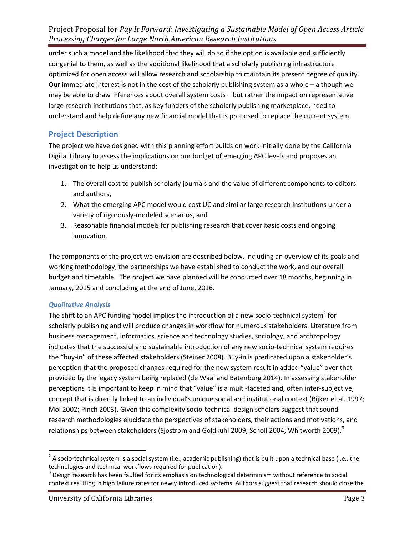under such a model and the likelihood that they will do so if the option is available and sufficiently congenial to them, as well as the additional likelihood that a scholarly publishing infrastructure optimized for open access will allow research and scholarship to maintain its present degree of quality. Our immediate interest is not in the cost of the scholarly publishing system as a whole – although we may be able to draw inferences about overall system costs – but rather the impact on representative large research institutions that, as key funders of the scholarly publishing marketplace, need to understand and help define any new financial model that is proposed to replace the current system.

## **Project Description**

The project we have designed with this planning effort builds on work initially done by the California Digital Library to assess the implications on our budget of emerging APC levels and proposes an investigation to help us understand:

- 1. The overall cost to publish scholarly journals and the value of different components to editors and authors,
- 2. What the emerging APC model would cost UC and similar large research institutions under a variety of rigorously-modeled scenarios, and
- 3. Reasonable financial models for publishing research that cover basic costs and ongoing innovation.

The components of the project we envision are described below, including an overview of its goals and working methodology, the partnerships we have established to conduct the work, and our overall budget and timetable. The project we have planned will be conducted over 18 months, beginning in January, 2015 and concluding at the end of June, 2016.

## *Qualitative Analysis*

l

The shift to an APC funding model implies the introduction of a new socio-technical system<sup>[2](#page-2-0)</sup> for scholarly publishing and will produce changes in workflow for numerous stakeholders. Literature from business management, informatics, science and technology studies, sociology, and anthropology indicates that the successful and sustainable introduction of any new socio-technical system requires the "buy-in" of these affected stakeholders (Steiner 2008). Buy-in is predicated upon a stakeholder's perception that the proposed changes required for the new system result in added "value" over that provided by the legacy system being replaced (de Waal and Batenburg 2014). In assessing stakeholder perceptions it is important to keep in mind that "value" is a multi-faceted and, often inter-subjective, concept that is directly linked to an individual's unique social and institutional context (Bijker et al. 1997; Mol 2002; Pinch 2003). Given this complexity socio-technical design scholars suggest that sound research methodologies elucidate the perspectives of stakeholders, their actions and motivations, and relationships between stakeholders (Sjostrom and Goldkuhl 2009; Scholl 2004; Whitworth 2009).<sup>[3](#page-2-1)</sup>

<span id="page-2-0"></span> $2^2$  A socio-technical system is a social system (i.e., academic publishing) that is built upon a technical base (i.e., the technologies and technical workflows required for publication).

<span id="page-2-1"></span> $3$  Design research has been faulted for its emphasis on technological determinism without reference to social context resulting in high failure rates for newly introduced systems. Authors suggest that research should close the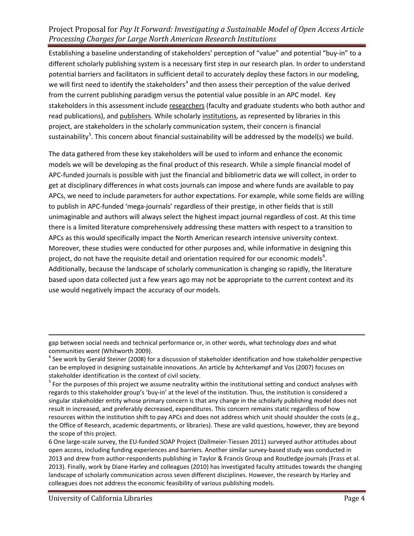Establishing a baseline understanding of stakeholders' perception of "value" and potential "buy-in" to a different scholarly publishing system is a necessary first step in our research plan. In order to understand potential barriers and facilitators in sufficient detail to accurately deploy these factors in our modeling, we will first need to identify the stakeholders<sup>[4](#page-3-0)</sup> and then assess their perception of the value derived from the current publishing paradigm versus the potential value possible in an APC model. Key stakeholders in this assessment include researchers (faculty and graduate students who both author and read publications), and publishers. While scholarly institutions, as represented by libraries in this project, are stakeholders in the scholarly communication system, their concern is financial sustainability<sup>[5](#page-3-1)</sup>. This concern about financial sustainability will be addressed by the model(s) we build.

The data gathered from these key stakeholders will be used to inform and enhance the economic models we will be developing as the final product of this research. While a simple financial model of APC-funded journals is possible with just the financial and bibliometric data we will collect, in order to get at disciplinary differences in what costs journals can impose and where funds are available to pay APCs, we need to include parameters for author expectations. For example, while some fields are willing to publish in APC-funded 'mega-journals' regardless of their prestige, in other fields that is still unimaginable and authors will always select the highest impact journal regardless of cost. At this time there is a limited literature comprehensively addressing these matters with respect to a transition to APCs as this would specifically impact the North American research intensive university context. Moreover, these studies were conducted for other purposes and, while informative in designing this project, do not have the requisite detail and orientation required for our economic models<sup>[6](#page-3-2)</sup>. Additionally, because the landscape of scholarly communication is changing so rapidly, the literature based upon data collected just a few years ago may not be appropriate to the current context and its use would negatively impact the accuracy of our models.

 $\overline{\phantom{a}}$ 

gap between social needs and technical performance or, in other words, what technology *does* and what communities *want* (Whitworth 2009).<br><sup>4</sup> See work by Gerald Steiner (2008) for a discussion of stakeholder identification and how stakeholder perspective

<span id="page-3-0"></span>can be employed in designing sustainable innovations. An article by Achterkampf and Vos (2007) focuses on stakeholder identification in the context of civil society.

<span id="page-3-1"></span> $^5$  For the purposes of this project we assume neutrality within the institutional setting and conduct analyses with regards to this stakeholder group's 'buy-in' at the level of the institution. Thus, the institution is considered a singular stakeholder entity whose primary concern is that any change in the scholarly publishing model does not result in increased, and preferably decreased, expenditures. This concern remains static regardless of how resources within the institution shift to pay APCs and does not address which unit should shoulder the costs (e.g., the Office of Research, academic departments, or libraries). These are valid questions, however, they are beyond the scope of this project.

<span id="page-3-2"></span><sup>6</sup> One large-scale survey, the EU-funded SOAP Project (Dallmeier-Tiessen 2011) surveyed author attitudes about open access, including funding experiences and barriers. Another similar survey-based study was conducted in 2013 and drew from author-respondents publishing in Taylor & Francis Group and Routledge journals (Frass et al. 2013). Finally, work by Diane Harley and colleagues (2010) has investigated faculty attitudes towards the changing landscape of scholarly communication across seven different disciplines. However, the research by Harley and colleagues does not address the economic feasibility of various publishing models.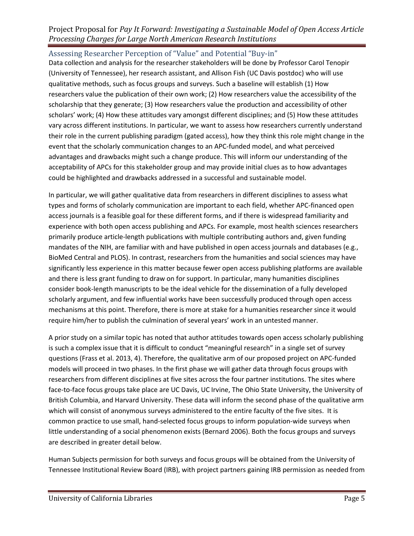Assessing Researcher Perception of "Value" and Potential "Buy-in"

Data collection and analysis for the researcher stakeholders will be done by Professor Carol Tenopir (University of Tennessee), her research assistant, and Allison Fish (UC Davis postdoc) who will use qualitative methods, such as focus groups and surveys. Such a baseline will establish (1) How researchers value the publication of their own work; (2) How researchers value the accessibility of the scholarship that they generate; (3) How researchers value the production and accessibility of other scholars' work; (4) How these attitudes vary amongst different disciplines; and (5) How these attitudes vary across different institutions. In particular, we want to assess how researchers currently understand their role in the current publishing paradigm (gated access), how they think this role might change in the event that the scholarly communication changes to an APC-funded model, and what perceived advantages and drawbacks might such a change produce. This will inform our understanding of the acceptability of APCs for this stakeholder group and may provide initial clues as to how advantages could be highlighted and drawbacks addressed in a successful and sustainable model.

In particular, we will gather qualitative data from researchers in different disciplines to assess what types and forms of scholarly communication are important to each field, whether APC-financed open access journals is a feasible goal for these different forms, and if there is widespread familiarity and experience with both open access publishing and APCs. For example, most health sciences researchers primarily produce article-length publications with multiple contributing authors and, given funding mandates of the NIH, are familiar with and have published in open access journals and databases (e.g., BioMed Central and PLOS). In contrast, researchers from the humanities and social sciences may have significantly less experience in this matter because fewer open access publishing platforms are available and there is less grant funding to draw on for support. In particular, many humanities disciplines consider book-length manuscripts to be the ideal vehicle for the dissemination of a fully developed scholarly argument, and few influential works have been successfully produced through open access mechanisms at this point. Therefore, there is more at stake for a humanities researcher since it would require him/her to publish the culmination of several years' work in an untested manner.

A prior study on a similar topic has noted that author attitudes towards open access scholarly publishing is such a complex issue that it is difficult to conduct "meaningful research" in a single set of survey questions (Frass et al. 2013, 4). Therefore, the qualitative arm of our proposed project on APC-funded models will proceed in two phases. In the first phase we will gather data through focus groups with researchers from different disciplines at five sites across the four partner institutions. The sites where face-to-face focus groups take place are UC Davis, UC Irvine, The Ohio State University, the University of British Columbia, and Harvard University. These data will inform the second phase of the qualitative arm which will consist of anonymous surveys administered to the entire faculty of the five sites. It is common practice to use small, hand-selected focus groups to inform population-wide surveys when little understanding of a social phenomenon exists (Bernard 2006). Both the focus groups and surveys are described in greater detail below.

Human Subjects permission for both surveys and focus groups will be obtained from the University of Tennessee Institutional Review Board (IRB), with project partners gaining IRB permission as needed from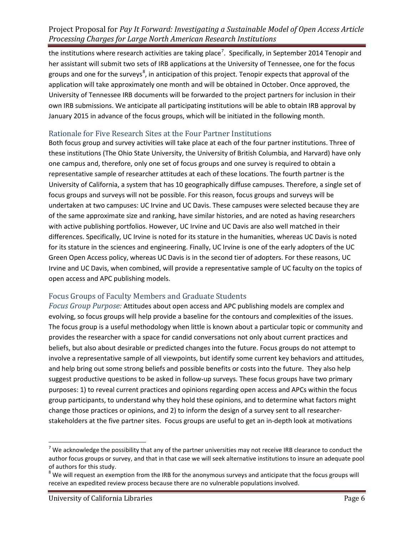the institutions where research activities are taking place<sup>[7](#page-5-0)</sup>. Specifically, in September 2014 Tenopir and her assistant will submit two sets of IRB applications at the University of Tennessee, one for the focus groups and one for the surveys<sup>[8](#page-5-1)</sup>, in anticipation of this project. Tenopir expects that approval of the application will take approximately one month and will be obtained in October. Once approved, the University of Tennessee IRB documents will be forwarded to the project partners for inclusion in their own IRB submissions. We anticipate all participating institutions will be able to obtain IRB approval by January 2015 in advance of the focus groups, which will be initiated in the following month.

## Rationale for Five Research Sites at the Four Partner Institutions

Both focus group and survey activities will take place at each of the four partner institutions. Three of these institutions (The Ohio State University, the University of British Columbia, and Harvard) have only one campus and, therefore, only one set of focus groups and one survey is required to obtain a representative sample of researcher attitudes at each of these locations. The fourth partner is the University of California, a system that has 10 geographically diffuse campuses. Therefore, a single set of focus groups and surveys will not be possible. For this reason, focus groups and surveys will be undertaken at two campuses: UC Irvine and UC Davis. These campuses were selected because they are of the same approximate size and ranking, have similar histories, and are noted as having researchers with active publishing portfolios. However, UC Irvine and UC Davis are also well matched in their differences. Specifically, UC Irvine is noted for its stature in the humanities, whereas UC Davis is noted for its stature in the sciences and engineering. Finally, UC Irvine is one of the early adopters of the UC Green Open Access policy, whereas UC Davis is in the second tier of adopters. For these reasons, UC Irvine and UC Davis, when combined, will provide a representative sample of UC faculty on the topics of open access and APC publishing models.

## Focus Groups of Faculty Members and Graduate Students

*Focus Group Purpose:* Attitudes about open access and APC publishing models are complex and evolving, so focus groups will help provide a baseline for the contours and complexities of the issues. The focus group is a useful methodology when little is known about a particular topic or community and provides the researcher with a space for candid conversations not only about current practices and beliefs, but also about desirable or predicted changes into the future. Focus groups do not attempt to involve a representative sample of all viewpoints, but identify some current key behaviors and attitudes, and help bring out some strong beliefs and possible benefits or costs into the future. They also help suggest productive questions to be asked in follow-up surveys. These focus groups have two primary purposes: 1) to reveal current practices and opinions regarding open access and APCs within the focus group participants, to understand why they hold these opinions, and to determine what factors might change those practices or opinions, and 2) to inform the design of a survey sent to all researcherstakeholders at the five partner sites. Focus groups are useful to get an in-depth look at motivations

 $\overline{\phantom{a}}$ 

<span id="page-5-0"></span><sup>&</sup>lt;sup>7</sup> We acknowledge the possibility that any of the partner universities may not receive IRB clearance to conduct the author focus groups or survey, and that in that case we will seek alternative institutions to insure an adequate pool of authors for this study.

<span id="page-5-1"></span> $8$  We will request an exemption from the IRB for the anonymous surveys and anticipate that the focus groups will receive an expedited review process because there are no vulnerable populations involved.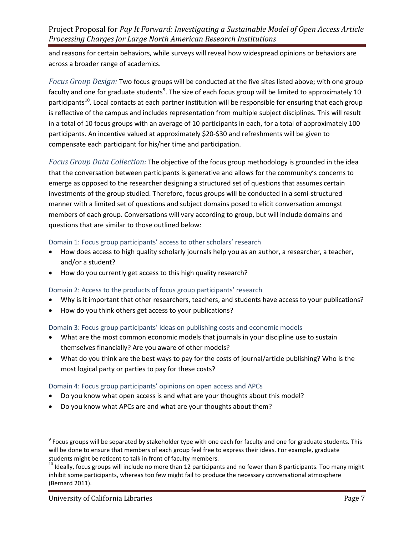and reasons for certain behaviors, while surveys will reveal how widespread opinions or behaviors are across a broader range of academics.

*Focus Group Design:* Two focus groups will be conducted at the five sites listed above; with one group faculty and one for graduate students<sup>[9](#page-6-0)</sup>. The size of each focus group will be limited to approximately 10 participants<sup>10</sup>. Local contacts at each partner institution will be responsible for ensuring that each group is reflective of the campus and includes representation from multiple subject disciplines. This will result in a total of 10 focus groups with an average of 10 participants in each, for a total of approximately 100 participants. An incentive valued at approximately \$20-\$30 and refreshments will be given to compensate each participant for his/her time and participation.

*Focus Group Data Collection:* The objective of the focus group methodology is grounded in the idea that the conversation between participants is generative and allows for the community's concerns to emerge as opposed to the researcher designing a structured set of questions that assumes certain investments of the group studied. Therefore, focus groups will be conducted in a semi-structured manner with a limited set of questions and subject domains posed to elicit conversation amongst members of each group. Conversations will vary according to group, but will include domains and questions that are similar to those outlined below:

#### Domain 1: Focus group participants' access to other scholars' research

- How does access to high quality scholarly journals help you as an author, a researcher, a teacher, and/or a student?
- How do you currently get access to this high quality research?

## Domain 2: Access to the products of focus group participants' research

- Why is it important that other researchers, teachers, and students have access to your publications?
- How do you think others get access to your publications?

#### Domain 3: Focus group participants' ideas on publishing costs and economic models

- What are the most common economic models that journals in your discipline use to sustain themselves financially? Are you aware of other models?
- What do you think are the best ways to pay for the costs of journal/article publishing? Who is the most logical party or parties to pay for these costs?

#### Domain 4: Focus group participants' opinions on open access and APCs

- Do you know what open access is and what are your thoughts about this model?
- Do you know what APCs are and what are your thoughts about them?

l

<span id="page-6-0"></span> $9$  Focus groups will be separated by stakeholder type with one each for faculty and one for graduate students. This will be done to ensure that members of each group feel free to express their ideas. For example, graduate

<span id="page-6-1"></span>students might be reticent to talk in front of faculty members.<br><sup>10</sup> Ideally, focus groups will include no more than 12 participants and no fewer than 8 participants. Too many might inhibit some participants, whereas too few might fail to produce the necessary conversational atmosphere (Bernard 2011).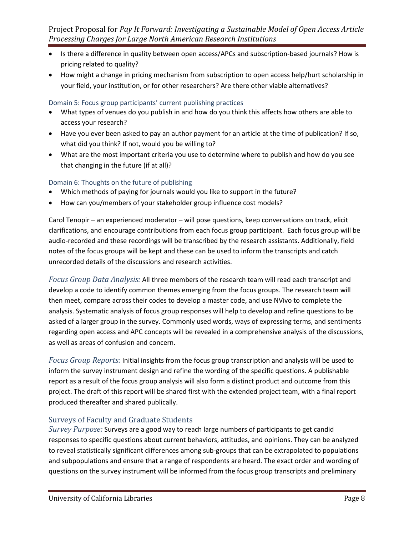- Is there a difference in quality between open access/APCs and subscription-based journals? How is pricing related to quality?
- How might a change in pricing mechanism from subscription to open access help/hurt scholarship in your field, your institution, or for other researchers? Are there other viable alternatives?

## Domain 5: Focus group participants' current publishing practices

- What types of venues do you publish in and how do you think this affects how others are able to access your research?
- Have you ever been asked to pay an author payment for an article at the time of publication? If so, what did you think? If not, would you be willing to?
- What are the most important criteria you use to determine where to publish and how do you see that changing in the future (if at all)?

## Domain 6: Thoughts on the future of publishing

- Which methods of paying for journals would you like to support in the future?
- How can you/members of your stakeholder group influence cost models?

Carol Tenopir – an experienced moderator – will pose questions, keep conversations on track, elicit clarifications, and encourage contributions from each focus group participant. Each focus group will be audio-recorded and these recordings will be transcribed by the research assistants. Additionally, field notes of the focus groups will be kept and these can be used to inform the transcripts and catch unrecorded details of the discussions and research activities.

*Focus Group Data Analysis:* All three members of the research team will read each transcript and develop a code to identify common themes emerging from the focus groups. The research team will then meet, compare across their codes to develop a master code, and use NVivo to complete the analysis. Systematic analysis of focus group responses will help to develop and refine questions to be asked of a larger group in the survey. Commonly used words, ways of expressing terms, and sentiments regarding open access and APC concepts will be revealed in a comprehensive analysis of the discussions, as well as areas of confusion and concern.

*Focus Group Reports:* Initial insights from the focus group transcription and analysis will be used to inform the survey instrument design and refine the wording of the specific questions. A publishable report as a result of the focus group analysis will also form a distinct product and outcome from this project. The draft of this report will be shared first with the extended project team, with a final report produced thereafter and shared publically.

## Surveys of Faculty and Graduate Students

*Survey Purpose:* Surveys are a good way to reach large numbers of participants to get candid responses to specific questions about current behaviors, attitudes, and opinions. They can be analyzed to reveal statistically significant differences among sub-groups that can be extrapolated to populations and subpopulations and ensure that a range of respondents are heard. The exact order and wording of questions on the survey instrument will be informed from the focus group transcripts and preliminary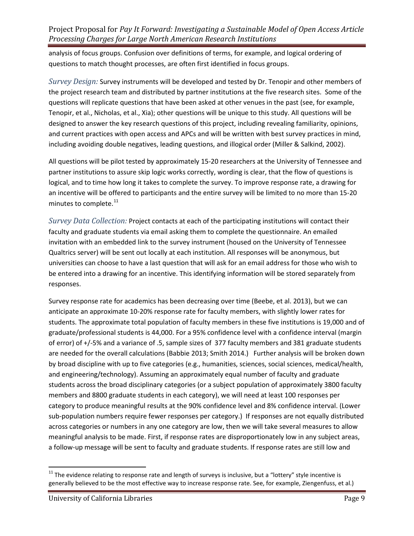analysis of focus groups. Confusion over definitions of terms, for example, and logical ordering of questions to match thought processes, are often first identified in focus groups.

*Survey Design:* Survey instruments will be developed and tested by Dr. Tenopir and other members of the project research team and distributed by partner institutions at the five research sites. Some of the questions will replicate questions that have been asked at other venues in the past (see, for example, Tenopir, et al., Nicholas, et al., Xia); other questions will be unique to this study. All questions will be designed to answer the key research questions of this project, including revealing familiarity, opinions, and current practices with open access and APCs and will be written with best survey practices in mind, including avoiding double negatives, leading questions, and illogical order (Miller & Salkind, 2002).

All questions will be pilot tested by approximately 15-20 researchers at the University of Tennessee and partner institutions to assure skip logic works correctly, wording is clear, that the flow of questions is logical, and to time how long it takes to complete the survey. To improve response rate, a drawing for an incentive will be offered to participants and the entire survey will be limited to no more than 15-20 minutes to complete.<sup>[11](#page-8-0)</sup>

*Survey Data Collection:* Project contacts at each of the participating institutions will contact their faculty and graduate students via email asking them to complete the questionnaire. An emailed invitation with an embedded link to the survey instrument (housed on the University of Tennessee Qualtrics server) will be sent out locally at each institution. All responses will be anonymous, but universities can choose to have a last question that will ask for an email address for those who wish to be entered into a drawing for an incentive. This identifying information will be stored separately from responses.

Survey response rate for academics has been decreasing over time (Beebe, et al. 2013), but we can anticipate an approximate 10-20% response rate for faculty members, with slightly lower rates for students. The approximate total population of faculty members in these five institutions is 19,000 and of graduate/professional students is 44,000. For a 95% confidence level with a confidence interval (margin of error) of +/-5% and a variance of .5, sample sizes of 377 faculty members and 381 graduate students are needed for the overall calculations (Babbie 2013; Smith 2014.) Further analysis will be broken down by broad discipline with up to five categories (e.g., humanities, sciences, social sciences, medical/health, and engineering/technology). Assuming an approximately equal number of faculty and graduate students across the broad disciplinary categories (or a subject population of approximately 3800 faculty members and 8800 graduate students in each category), we will need at least 100 responses per category to produce meaningful results at the 90% confidence level and 8% confidence interval. (Lower sub-population numbers require fewer responses per category.) If responses are not equally distributed across categories or numbers in any one category are low, then we will take several measures to allow meaningful analysis to be made. First, if response rates are disproportionately low in any subject areas, a follow-up message will be sent to faculty and graduate students. If response rates are still low and

 $\overline{\phantom{a}}$ 

<span id="page-8-0"></span> $11$  The evidence relating to response rate and length of surveys is inclusive, but a "lottery" style incentive is generally believed to be the most effective way to increase response rate. See, for example, Ziengenfuss, et al.)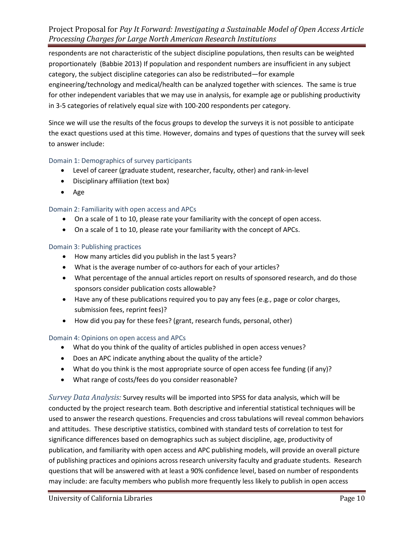respondents are not characteristic of the subject discipline populations, then results can be weighted proportionately (Babbie 2013) If population and respondent numbers are insufficient in any subject category, the subject discipline categories can also be redistributed—for example engineering/technology and medical/health can be analyzed together with sciences. The same is true for other independent variables that we may use in analysis, for example age or publishing productivity in 3-5 categories of relatively equal size with 100-200 respondents per category.

Since we will use the results of the focus groups to develop the surveys it is not possible to anticipate the exact questions used at this time. However, domains and types of questions that the survey will seek to answer include:

#### Domain 1: Demographics of survey participants

- Level of career (graduate student, researcher, faculty, other) and rank-in-level
- Disciplinary affiliation (text box)
- Age

#### Domain 2: Familiarity with open access and APCs

- On a scale of 1 to 10, please rate your familiarity with the concept of open access.
- On a scale of 1 to 10, please rate your familiarity with the concept of APCs.

#### Domain 3: Publishing practices

- How many articles did you publish in the last 5 years?
- What is the average number of co-authors for each of your articles?
- What percentage of the annual articles report on results of sponsored research, and do those sponsors consider publication costs allowable?
- Have any of these publications required you to pay any fees (e.g., page or color charges, submission fees, reprint fees)?
- How did you pay for these fees? (grant, research funds, personal, other)

#### Domain 4: Opinions on open access and APCs

- What do you think of the quality of articles published in open access venues?
- Does an APC indicate anything about the quality of the article?
- What do you think is the most appropriate source of open access fee funding (if any)?
- What range of costs/fees do you consider reasonable?

*Survey Data Analysis:* Survey results will be imported into SPSS for data analysis, which will be conducted by the project research team. Both descriptive and inferential statistical techniques will be used to answer the research questions. Frequencies and cross tabulations will reveal common behaviors and attitudes. These descriptive statistics, combined with standard tests of correlation to test for significance differences based on demographics such as subject discipline, age, productivity of publication, and familiarity with open access and APC publishing models, will provide an overall picture of publishing practices and opinions across research university faculty and graduate students. Research questions that will be answered with at least a 90% confidence level, based on number of respondents may include: are faculty members who publish more frequently less likely to publish in open access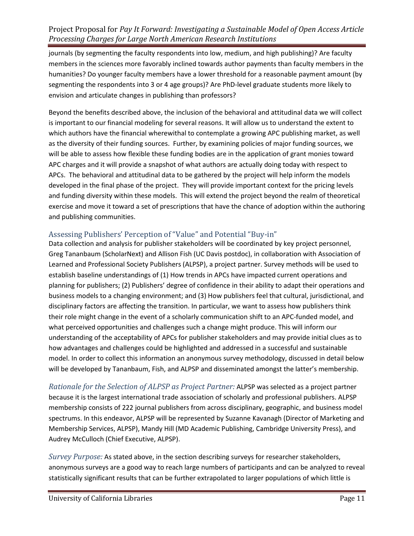journals (by segmenting the faculty respondents into low, medium, and high publishing)? Are faculty members in the sciences more favorably inclined towards author payments than faculty members in the humanities? Do younger faculty members have a lower threshold for a reasonable payment amount (by segmenting the respondents into 3 or 4 age groups)? Are PhD-level graduate students more likely to envision and articulate changes in publishing than professors?

Beyond the benefits described above, the inclusion of the behavioral and attitudinal data we will collect is important to our financial modeling for several reasons. It will allow us to understand the extent to which authors have the financial wherewithal to contemplate a growing APC publishing market, as well as the diversity of their funding sources. Further, by examining policies of major funding sources, we will be able to assess how flexible these funding bodies are in the application of grant monies toward APC charges and it will provide a snapshot of what authors are actually doing today with respect to APCs. The behavioral and attitudinal data to be gathered by the project will help inform the models developed in the final phase of the project. They will provide important context for the pricing levels and funding diversity within these models. This will extend the project beyond the realm of theoretical exercise and move it toward a set of prescriptions that have the chance of adoption within the authoring and publishing communities.

## Assessing Publishers' Perception of "Value" and Potential "Buy-in"

Data collection and analysis for publisher stakeholders will be coordinated by key project personnel, Greg Tananbaum (ScholarNext) and Allison Fish (UC Davis postdoc), in collaboration with Association of Learned and Professional Society Publishers (ALPSP), a project partner. Survey methods will be used to establish baseline understandings of (1) How trends in APCs have impacted current operations and planning for publishers; (2) Publishers' degree of confidence in their ability to adapt their operations and business models to a changing environment; and (3) How publishers feel that cultural, jurisdictional, and disciplinary factors are affecting the transition. In particular, we want to assess how publishers think their role might change in the event of a scholarly communication shift to an APC-funded model, and what perceived opportunities and challenges such a change might produce. This will inform our understanding of the acceptability of APCs for publisher stakeholders and may provide initial clues as to how advantages and challenges could be highlighted and addressed in a successful and sustainable model. In order to collect this information an anonymous survey methodology, discussed in detail below will be developed by Tananbaum, Fish, and ALPSP and disseminated amongst the latter's membership.

*Rationale for the Selection of ALPSP as Project Partner:* ALPSP was selected as a project partner because it is the largest international trade association of scholarly and professional publishers. ALPSP membership consists of 222 journal publishers from across disciplinary, geographic, and business model spectrums. In this endeavor, ALPSP will be represented by Suzanne Kavanagh (Director of Marketing and Membership Services, ALPSP), Mandy Hill (MD Academic Publishing, Cambridge University Press), and Audrey McCulloch (Chief Executive, ALPSP).

*Survey Purpose:* As stated above, in the section describing surveys for researcher stakeholders, anonymous surveys are a good way to reach large numbers of participants and can be analyzed to reveal statistically significant results that can be further extrapolated to larger populations of which little is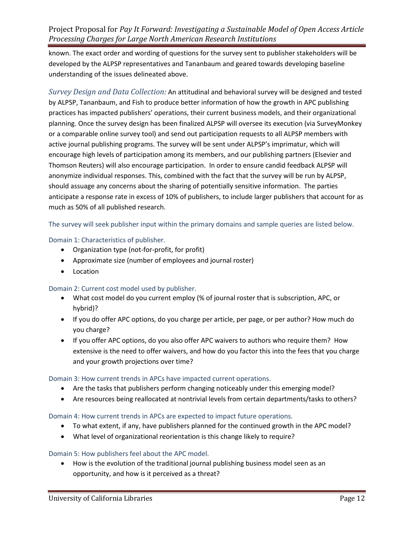known. The exact order and wording of questions for the survey sent to publisher stakeholders will be developed by the ALPSP representatives and Tananbaum and geared towards developing baseline understanding of the issues delineated above.

*Survey Design and Data Collection:* An attitudinal and behavioral survey will be designed and tested by ALPSP, Tananbaum, and Fish to produce better information of how the growth in APC publishing practices has impacted publishers' operations, their current business models, and their organizational planning. Once the survey design has been finalized ALPSP will oversee its execution (via SurveyMonkey or a comparable online survey tool) and send out participation requests to all ALPSP members with active journal publishing programs. The survey will be sent under ALPSP's imprimatur, which will encourage high levels of participation among its members, and our publishing partners (Elsevier and Thomson Reuters) will also encourage participation. In order to ensure candid feedback ALPSP will anonymize individual responses. This, combined with the fact that the survey will be run by ALPSP, should assuage any concerns about the sharing of potentially sensitive information. The parties anticipate a response rate in excess of 10% of publishers, to include larger publishers that account for as much as 50% of all published research.

The survey will seek publisher input within the primary domains and sample queries are listed below.

## Domain 1: Characteristics of publisher.

- Organization type (not-for-profit, for profit)
- Approximate size (number of employees and journal roster)
- Location

#### Domain 2: Current cost model used by publisher.

- What cost model do you current employ (% of journal roster that is subscription, APC, or hybrid)?
- If you do offer APC options, do you charge per article, per page, or per author? How much do you charge?
- If you offer APC options, do you also offer APC waivers to authors who require them? How extensive is the need to offer waivers, and how do you factor this into the fees that you charge and your growth projections over time?

#### Domain 3: How current trends in APCs have impacted current operations.

- Are the tasks that publishers perform changing noticeably under this emerging model?
- Are resources being reallocated at nontrivial levels from certain departments/tasks to others?

#### Domain 4: How current trends in APCs are expected to impact future operations.

- To what extent, if any, have publishers planned for the continued growth in the APC model?
- What level of organizational reorientation is this change likely to require?

#### Domain 5: How publishers feel about the APC model.

• How is the evolution of the traditional journal publishing business model seen as an opportunity, and how is it perceived as a threat?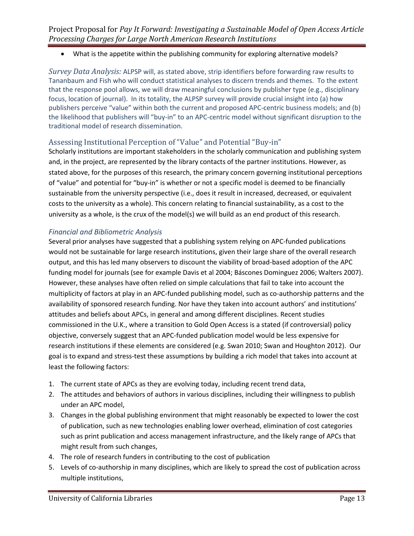## • What is the appetite within the publishing community for exploring alternative models?

*Survey Data Analysis:* ALPSP will, as stated above, strip identifiers before forwarding raw results to Tananbaum and Fish who will conduct statistical analyses to discern trends and themes. To the extent that the response pool allows, we will draw meaningful conclusions by publisher type (e.g., disciplinary focus, location of journal). In its totality, the ALPSP survey will provide crucial insight into (a) how publishers perceive "value" within both the current and proposed APC-centric business models; and (b) the likelihood that publishers will "buy-in" to an APC-centric model without significant disruption to the traditional model of research dissemination.

## Assessing Institutional Perception of "Value" and Potential "Buy-in"

Scholarly institutions are important stakeholders in the scholarly communication and publishing system and, in the project, are represented by the library contacts of the partner institutions. However, as stated above, for the purposes of this research, the primary concern governing institutional perceptions of "value" and potential for "buy-in" is whether or not a specific model is deemed to be financially sustainable from the university perspective (i.e., does it result in increased, decreased, or equivalent costs to the university as a whole). This concern relating to financial sustainability, as a cost to the university as a whole, is the crux of the model(s) we will build as an end product of this research.

## *Financial and Bibliometric Analysis*

Several prior analyses have suggested that a publishing system relying on APC-funded publications would not be sustainable for large research institutions, given their large share of the overall research output, and this has led many observers to discount the viability of broad-based adoption of the APC funding model for journals (see for example Davis et al 2004; Báscones Dominguez 2006; Walters 2007). However, these analyses have often relied on simple calculations that fail to take into account the multiplicity of factors at play in an APC-funded publishing model, such as co-authorship patterns and the availability of sponsored research funding. Nor have they taken into account authors' and institutions' attitudes and beliefs about APCs, in general and among different disciplines. Recent studies commissioned in the U.K., where a transition to Gold Open Access is a stated (if controversial) policy objective, conversely suggest that an APC-funded publication model would be less expensive for research institutions if these elements are considered (e.g. Swan 2010; Swan and Houghton 2012). Our goal is to expand and stress-test these assumptions by building a rich model that takes into account at least the following factors:

- 1. The current state of APCs as they are evolving today, including recent trend data,
- 2. The attitudes and behaviors of authors in various disciplines, including their willingness to publish under an APC model,
- 3. Changes in the global publishing environment that might reasonably be expected to lower the cost of publication, such as new technologies enabling lower overhead, elimination of cost categories such as print publication and access management infrastructure, and the likely range of APCs that might result from such changes,
- 4. The role of research funders in contributing to the cost of publication
- 5. Levels of co-authorship in many disciplines, which are likely to spread the cost of publication across multiple institutions,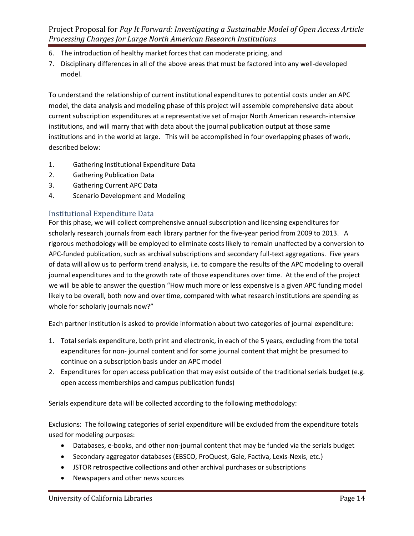- 6. The introduction of healthy market forces that can moderate pricing, and
- 7. Disciplinary differences in all of the above areas that must be factored into any well-developed model.

To understand the relationship of current institutional expenditures to potential costs under an APC model, the data analysis and modeling phase of this project will assemble comprehensive data about current subscription expenditures at a representative set of major North American research-intensive institutions, and will marry that with data about the journal publication output at those same institutions and in the world at large. This will be accomplished in four overlapping phases of work, described below:

- 1. Gathering Institutional Expenditure Data
- 2. Gathering Publication Data
- 3. Gathering Current APC Data
- 4. Scenario Development and Modeling

## Institutional Expenditure Data

For this phase, we will collect comprehensive annual subscription and licensing expenditures for scholarly research journals from each library partner for the five-year period from 2009 to 2013. A rigorous methodology will be employed to eliminate costs likely to remain unaffected by a conversion to APC-funded publication, such as archival subscriptions and secondary full-text aggregations. Five years of data will allow us to perform trend analysis, i.e. to compare the results of the APC modeling to overall journal expenditures and to the growth rate of those expenditures over time. At the end of the project we will be able to answer the question "How much more or less expensive is a given APC funding model likely to be overall, both now and over time, compared with what research institutions are spending as whole for scholarly journals now?"

Each partner institution is asked to provide information about two categories of journal expenditure:

- 1. Total serials expenditure, both print and electronic, in each of the 5 years, excluding from the total expenditures for non- journal content and for some journal content that might be presumed to continue on a subscription basis under an APC model
- 2. Expenditures for open access publication that may exist outside of the traditional serials budget (e.g. open access memberships and campus publication funds)

Serials expenditure data will be collected according to the following methodology:

Exclusions: The following categories of serial expenditure will be excluded from the expenditure totals used for modeling purposes:

- Databases, e-books, and other non-journal content that may be funded via the serials budget
- Secondary aggregator databases (EBSCO, ProQuest, Gale, Factiva, Lexis-Nexis, etc.)
- JSTOR retrospective collections and other archival purchases or subscriptions
- Newspapers and other news sources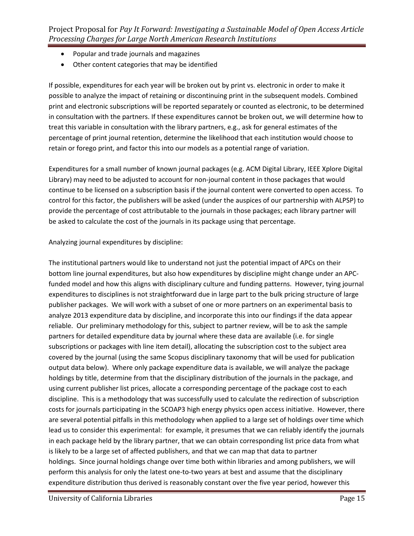- Popular and trade journals and magazines
- Other content categories that may be identified

If possible, expenditures for each year will be broken out by print vs. electronic in order to make it possible to analyze the impact of retaining or discontinuing print in the subsequent models. Combined print and electronic subscriptions will be reported separately or counted as electronic, to be determined in consultation with the partners. If these expenditures cannot be broken out, we will determine how to treat this variable in consultation with the library partners, e.g., ask for general estimates of the percentage of print journal retention, determine the likelihood that each institution would choose to retain or forego print, and factor this into our models as a potential range of variation.

Expenditures for a small number of known journal packages (e.g. ACM Digital Library, IEEE Xplore Digital Library) may need to be adjusted to account for non-journal content in those packages that would continue to be licensed on a subscription basis if the journal content were converted to open access. To control for this factor, the publishers will be asked (under the auspices of our partnership with ALPSP) to provide the percentage of cost attributable to the journals in those packages; each library partner will be asked to calculate the cost of the journals in its package using that percentage.

## Analyzing journal expenditures by discipline:

The institutional partners would like to understand not just the potential impact of APCs on their bottom line journal expenditures, but also how expenditures by discipline might change under an APCfunded model and how this aligns with disciplinary culture and funding patterns. However, tying journal expenditures to disciplines is not straightforward due in large part to the bulk pricing structure of large publisher packages. We will work with a subset of one or more partners on an experimental basis to analyze 2013 expenditure data by discipline, and incorporate this into our findings if the data appear reliable. Our preliminary methodology for this, subject to partner review, will be to ask the sample partners for detailed expenditure data by journal where these data are available (i.e. for single subscriptions or packages with line item detail), allocating the subscription cost to the subject area covered by the journal (using the same Scopus disciplinary taxonomy that will be used for publication output data below). Where only package expenditure data is available, we will analyze the package holdings by title, determine from that the disciplinary distribution of the journals in the package, and using current publisher list prices, allocate a corresponding percentage of the package cost to each discipline. This is a methodology that was successfully used to calculate the redirection of subscription costs for journals participating in the SCOAP3 high energy physics open access initiative. However, there are several potential pitfalls in this methodology when applied to a large set of holdings over time which lead us to consider this experimental: for example, it presumes that we can reliably identify the journals in each package held by the library partner, that we can obtain corresponding list price data from what is likely to be a large set of affected publishers, and that we can map that data to partner holdings. Since journal holdings change over time both within libraries and among publishers, we will perform this analysis for only the latest one-to-two years at best and assume that the disciplinary expenditure distribution thus derived is reasonably constant over the five year period, however this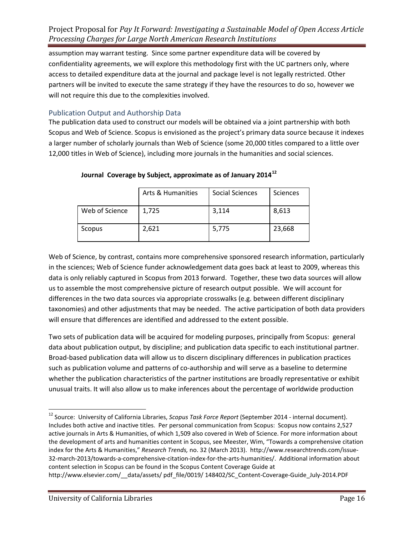assumption may warrant testing. Since some partner expenditure data will be covered by confidentiality agreements, we will explore this methodology first with the UC partners only, where access to detailed expenditure data at the journal and package level is not legally restricted. Other partners will be invited to execute the same strategy if they have the resources to do so, however we will not require this due to the complexities involved.

## Publication Output and Authorship Data

The publication data used to construct our models will be obtained via a joint partnership with both Scopus and Web of Science. Scopus is envisioned as the project's primary data source because it indexes a larger number of scholarly journals than Web of Science (some 20,000 titles compared to a little over 12,000 titles in Web of Science), including more journals in the humanities and social sciences.

|                | Arts & Humanities | <b>Social Sciences</b> | Sciences |
|----------------|-------------------|------------------------|----------|
| Web of Science | 1,725             | 3,114                  | 8,613    |
| Scopus         | 2,621             | 5,775                  | 23,668   |

## **Journal Coverage by Subject, approximate as of January 2014[12](#page-15-0)**

Web of Science, by contrast, contains more comprehensive sponsored research information, particularly in the sciences; Web of Science funder acknowledgement data goes back at least to 2009, whereas this data is only reliably captured in Scopus from 2013 forward. Together, these two data sources will allow us to assemble the most comprehensive picture of research output possible. We will account for differences in the two data sources via appropriate crosswalks (e.g. between different disciplinary taxonomies) and other adjustments that may be needed. The active participation of both data providers will ensure that differences are identified and addressed to the extent possible.

Two sets of publication data will be acquired for modeling purposes, principally from Scopus: general data about publication output, by discipline; and publication data specific to each institutional partner. Broad-based publication data will allow us to discern disciplinary differences in publication practices such as publication volume and patterns of co-authorship and will serve as a baseline to determine whether the publication characteristics of the partner institutions are broadly representative or exhibit unusual traits. It will also allow us to make inferences about the percentage of worldwide production

<span id="page-15-0"></span><sup>12</sup> Source: University of California Libraries, *Scopus Task Force Report* (September 2014 - internal document). Includes both active and inactive titles. Per personal communication from Scopus: Scopus now contains 2,527 active journals in Arts & Humanities, of which 1,509 also covered in Web of Science. For more information about the development of arts and humanities content in Scopus, see Meester, Wim, "Towards a comprehensive citation index for the Arts & Humanities," *Research Trends,* no. 32 (March 2013). http://www.researchtrends.com/issue-32-march-2013/towards-a-comprehensive-citation-index-for-the-arts-humanities/. Additional information about content selection in Scopus can be found in the Scopus Content Coverage Guide at  $\overline{\phantom{a}}$ 

http://www.elsevier.com/\_\_data/assets/ pdf\_file/0019/ 148402/SC\_Content-Coverage-Guide\_July-2014.PDF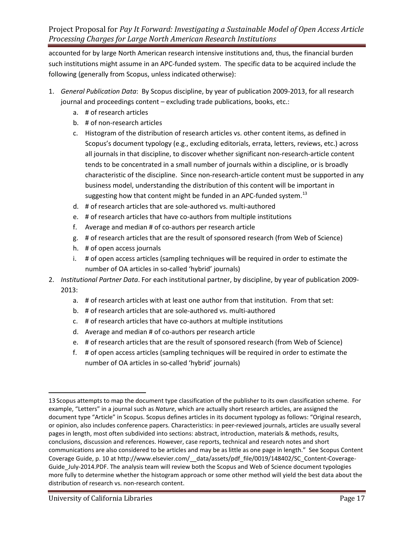accounted for by large North American research intensive institutions and, thus, the financial burden such institutions might assume in an APC-funded system. The specific data to be acquired include the following (generally from Scopus, unless indicated otherwise):

- 1. *General Publication Data*: By Scopus discipline, by year of publication 2009-2013, for all research journal and proceedings content – excluding trade publications, books, etc.:
	- a. # of research articles
	- b. # of non-research articles
	- c. Histogram of the distribution of research articles vs. other content items, as defined in Scopus's document typology (e.g., excluding editorials, errata, letters, reviews, etc.) across all journals in that discipline, to discover whether significant non-research-article content tends to be concentrated in a small number of journals within a discipline, or is broadly characteristic of the discipline. Since non-research-article content must be supported in any business model, understanding the distribution of this content will be important in suggesting how that content might be funded in an APC-funded system.<sup>[13](#page-16-0)</sup>
	- d. # of research articles that are sole-authored vs. multi-authored
	- e. # of research articles that have co-authors from multiple institutions
	- f. Average and median # of co-authors per research article
	- g. # of research articles that are the result of sponsored research (from Web of Science)
	- h. # of open access journals
	- i. # of open access articles (sampling techniques will be required in order to estimate the number of OA articles in so-called 'hybrid' journals)
- 2. *Institutional Partner Data*. For each institutional partner, by discipline, by year of publication 2009- 2013:
	- a. # of research articles with at least one author from that institution. From that set:
	- b. # of research articles that are sole-authored vs. multi-authored
	- c. # of research articles that have co-authors at multiple institutions
	- d. Average and median # of co-authors per research article
	- e. # of research articles that are the result of sponsored research (from Web of Science)
	- f. # of open access articles (sampling techniques will be required in order to estimate the number of OA articles in so-called 'hybrid' journals)

l

<span id="page-16-0"></span><sup>13</sup> Scopus attempts to map the document type classification of the publisher to its own classification scheme. For example, "Letters" in a journal such as *Nature*, which are actually short research articles, are assigned the document type "Article" in Scopus. Scopus defines articles in its document typology as follows: "Original research, or opinion, also includes conference papers. Characteristics: in peer-reviewed journals, articles are usually several pages in length, most often subdivided into sections: abstract, introduction, materials & methods, results, conclusions, discussion and references. However, case reports, technical and research notes and short communications are also considered to be articles and may be as little as one page in length." See Scopus Content Coverage Guide, p. 10 at [http://www.elsevier.com/\\_\\_data/assets/pdf\\_file/0019/148402/SC\\_Content-Coverage-](http://www.elsevier.com/__data/assets/pdf_file/0019/148402/SC_Content-Coverage-Guide_July-2014.PDF)[Guide\\_July-2014.PDF.](http://www.elsevier.com/__data/assets/pdf_file/0019/148402/SC_Content-Coverage-Guide_July-2014.PDF) The analysis team will review both the Scopus and Web of Science document typologies more fully to determine whether the histogram approach or some other method will yield the best data about the distribution of research vs. non-research content.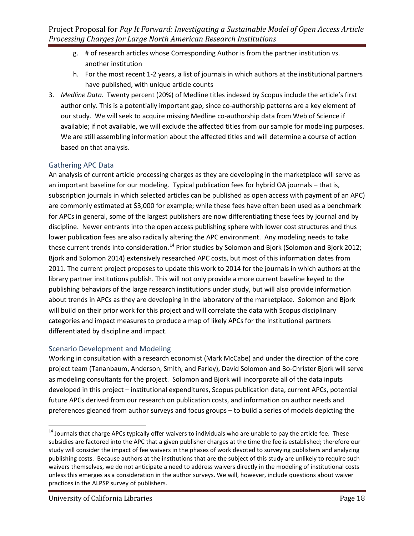- g. # of research articles whose Corresponding Author is from the partner institution vs. another institution
- h. For the most recent 1-2 years, a list of journals in which authors at the institutional partners have published, with unique article counts
- 3. *Medline Data.* Twenty percent (20%) of Medline titles indexed by Scopus include the article's first author only. This is a potentially important gap, since co-authorship patterns are a key element of our study. We will seek to acquire missing Medline co-authorship data from Web of Science if available; if not available, we will exclude the affected titles from our sample for modeling purposes. We are still assembling information about the affected titles and will determine a course of action based on that analysis.

## Gathering APC Data

An analysis of current article processing charges as they are developing in the marketplace will serve as an important baseline for our modeling. Typical publication fees for hybrid OA journals – that is, subscription journals in which selected articles can be published as open access with payment of an APC) are commonly estimated at \$3,000 for example; while these fees have often been used as a benchmark for APCs in general, some of the largest publishers are now differentiating these fees by journal and by discipline. Newer entrants into the open access publishing sphere with lower cost structures and thus lower publication fees are also radically altering the APC environment. Any modeling needs to take these current trends into consideration.<sup>[14](#page-17-0)</sup> Prior studies by Solomon and Bjork (Solomon and Bjork 2012; Bjork and Solomon 2014) extensively researched APC costs, but most of this information dates from 2011. The current project proposes to update this work to 2014 for the journals in which authors at the library partner institutions publish. This will not only provide a more current baseline keyed to the publishing behaviors of the large research institutions under study, but will also provide information about trends in APCs as they are developing in the laboratory of the marketplace. Solomon and Bjork will build on their prior work for this project and will correlate the data with Scopus disciplinary categories and impact measures to produce a map of likely APCs for the institutional partners differentiated by discipline and impact.

## Scenario Development and Modeling

Working in consultation with a research economist (Mark McCabe) and under the direction of the core project team (Tananbaum, Anderson, Smith, and Farley), David Solomon and Bo-Christer Bjork will serve as modeling consultants for the project. Solomon and Bjork will incorporate all of the data inputs developed in this project – institutional expenditures, Scopus publication data, current APCs, potential future APCs derived from our research on publication costs, and information on author needs and preferences gleaned from author surveys and focus groups – to build a series of models depicting the

 $\overline{\phantom{a}}$ 

<span id="page-17-0"></span> $14$  Journals that charge APCs typically offer waivers to individuals who are unable to pay the article fee. These subsidies are factored into the APC that a given publisher charges at the time the fee is established; therefore our study will consider the impact of fee waivers in the phases of work devoted to surveying publishers and analyzing publishing costs. Because authors at the institutions that are the subject of this study are unlikely to require such waivers themselves, we do not anticipate a need to address waivers directly in the modeling of institutional costs unless this emerges as a consideration in the author surveys. We will, however, include questions about waiver practices in the ALPSP survey of publishers.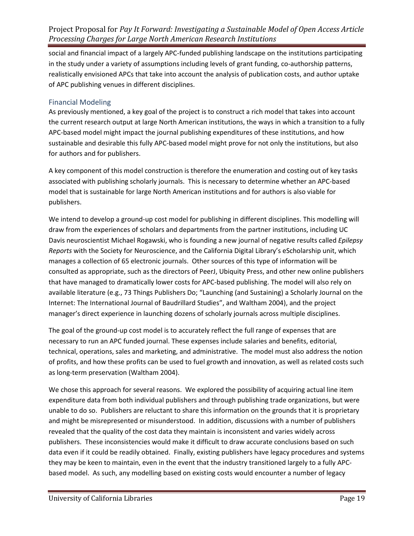social and financial impact of a largely APC-funded publishing landscape on the institutions participating in the study under a variety of assumptions including levels of grant funding, co-authorship patterns, realistically envisioned APCs that take into account the analysis of publication costs, and author uptake of APC publishing venues in different disciplines.

#### Financial Modeling

As previously mentioned, a key goal of the project is to construct a rich model that takes into account the current research output at large North American institutions, the ways in which a transition to a fully APC-based model might impact the journal publishing expenditures of these institutions, and how sustainable and desirable this fully APC-based model might prove for not only the institutions, but also for authors and for publishers.

A key component of this model construction is therefore the enumeration and costing out of key tasks associated with publishing scholarly journals. This is necessary to determine whether an APC-based model that is sustainable for large North American institutions and for authors is also viable for publishers.

We intend to develop a ground-up cost model for publishing in different disciplines. This modelling will draw from the experiences of scholars and departments from the partner institutions, including UC Davis neuroscientist Michael Rogawski, who is founding a new journal of negative results called *Epilepsy Reports* with the Society for Neuroscience, and the California Digital Library's eScholarship unit, which manages a collection of 65 electronic journals. Other sources of this type of information will be consulted as appropriate, such as the directors of PeerJ, Ubiquity Press, and other new online publishers that have managed to dramatically lower costs for APC-based publishing. The model will also rely on available literature (e.g., 73 Things Publishers Do; ["Launching \(and Sustaining\) a Scholarly Journal on the](http://dx.doi.org/10.3998/3336451.0013.104)  [Internet: The International Journal of Baudrillard Studies",](http://dx.doi.org/10.3998/3336451.0013.104) and Waltham 2004), and the project manager's direct experience in launching dozens of scholarly journals across multiple disciplines.

The goal of the ground-up cost model is to accurately reflect the full range of expenses that are necessary to run an APC funded journal. These expenses include salaries and benefits, editorial, technical, operations, sales and marketing, and administrative. The model must also address the notion of profits, and how these profits can be used to fuel growth and innovation, as well as related costs such as long-term preservation (Waltham 2004).

We chose this approach for several reasons. We explored the possibility of acquiring actual line item expenditure data from both individual publishers and through publishing trade organizations, but were unable to do so. Publishers are reluctant to share this information on the grounds that it is proprietary and might be misrepresented or misunderstood. In addition, discussions with a number of publishers revealed that the quality of the cost data they maintain is inconsistent and varies widely across publishers. These inconsistencies would make it difficult to draw accurate conclusions based on such data even if it could be readily obtained. Finally, existing publishers have legacy procedures and systems they may be keen to maintain, even in the event that the industry transitioned largely to a fully APCbased model. As such, any modelling based on existing costs would encounter a number of legacy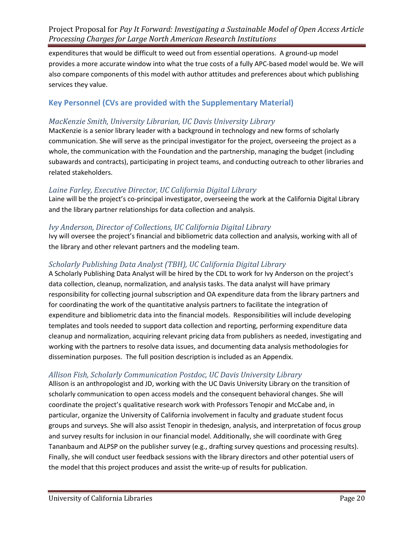expenditures that would be difficult to weed out from essential operations. A ground-up model provides a more accurate window into what the true costs of a fully APC-based model would be. We will also compare components of this model with author attitudes and preferences about which publishing services they value.

# **Key Personnel (CVs are provided with the Supplementary Material)**

# *MacKenzie Smith, University Librarian, UC Davis University Library*

MacKenzie is a senior library leader with a background in technology and new forms of scholarly communication. She will serve as the principal investigator for the project, overseeing the project as a whole, the communication with the Foundation and the partnership, managing the budget (including subawards and contracts), participating in project teams, and conducting outreach to other libraries and related stakeholders.

## *Laine Farley, Executive Director, UC California Digital Library*

Laine will be the project's co-principal investigator, overseeing the work at the California Digital Library and the library partner relationships for data collection and analysis.

# *Ivy Anderson, Director of Collections, UC California Digital Library*

Ivy will oversee the project's financial and bibliometric data collection and analysis, working with all of the library and other relevant partners and the modeling team.

# *Scholarly Publishing Data Analyst (TBH), UC California Digital Library*

A Scholarly Publishing Data Analyst will be hired by the CDL to work for Ivy Anderson on the project's data collection, cleanup, normalization, and analysis tasks. The data analyst will have primary responsibility for collecting journal subscription and OA expenditure data from the library partners and for coordinating the work of the quantitative analysis partners to facilitate the integration of expenditure and bibliometric data into the financial models. Responsibilities will include developing templates and tools needed to support data collection and reporting, performing expenditure data cleanup and normalization, acquiring relevant pricing data from publishers as needed, investigating and working with the partners to resolve data issues, and documenting data analysis methodologies for dissemination purposes. The full position description is included as an Appendix.

# *Allison Fish, Scholarly Communication Postdoc, UC Davis University Library*

Allison is an anthropologist and JD, working with the UC Davis University Library on the transition of scholarly communication to open access models and the consequent behavioral changes. She will coordinate the project's qualitative research work with Professors Tenopir and McCabe and, in particular, organize the University of California involvement in faculty and graduate student focus groups and surveys. She will also assist Tenopir in thedesign, analysis, and interpretation of focus group and survey results for inclusion in our financial model. Additionally, she will coordinate with Greg Tananbaum and ALPSP on the publisher survey (e.g., drafting survey questions and processing results). Finally, she will conduct user feedback sessions with the library directors and other potential users of the model that this project produces and assist the write-up of results for publication.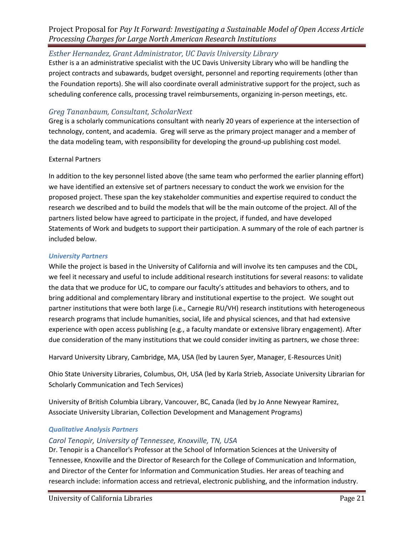## *Esther Hernandez, Grant Administrator, UC Davis University Library*

Esther is a an administrative specialist with the UC Davis University Library who will be handling the project contracts and subawards, budget oversight, personnel and reporting requirements (other than the Foundation reports). She will also coordinate overall administrative support for the project, such as scheduling conference calls, processing travel reimbursements, organizing in-person meetings, etc.

## *Greg Tananbaum, Consultant, ScholarNext*

Greg is a scholarly communications consultant with nearly 20 years of experience at the intersection of technology, content, and academia. Greg will serve as the primary project manager and a member of the data modeling team, with responsibility for developing the ground-up publishing cost model.

#### External Partners

In addition to the key personnel listed above (the same team who performed the earlier planning effort) we have identified an extensive set of partners necessary to conduct the work we envision for the proposed project. These span the key stakeholder communities and expertise required to conduct the research we described and to build the models that will be the main outcome of the project. All of the partners listed below have agreed to participate in the project, if funded, and have developed Statements of Work and budgets to support their participation. A summary of the role of each partner is included below.

#### *University Partners*

While the project is based in the University of California and will involve its ten campuses and the CDL, we feel it necessary and useful to include additional research institutions for several reasons: to validate the data that we produce for UC, to compare our faculty's attitudes and behaviors to others, and to bring additional and complementary library and institutional expertise to the project. We sought out partner institutions that were both large (i.e., Carnegie RU/VH) research institutions with heterogeneous research programs that include humanities, social, life and physical sciences, and that had extensive experience with open access publishing (e.g., a faculty mandate or extensive library engagement). After due consideration of the many institutions that we could consider inviting as partners, we chose three:

Harvard University Library, Cambridge, MA, USA (led by Lauren Syer, Manager, E-Resources Unit)

Ohio State University Libraries, Columbus, OH, USA (led by Karla Strieb, Associate University Librarian for Scholarly Communication and Tech Services)

University of British Columbia Library, Vancouver, BC, Canada (led by Jo Anne Newyear Ramirez, Associate University Librarian, Collection Development and Management Programs)

## *Qualitative Analysis Partners*

## *Carol Tenopir, University of Tennessee, Knoxville, TN, USA*

Dr. Tenopir is a Chancellor's Professor at the School of Information Sciences at the University of Tennessee, Knoxville and the Director of Research for the College of Communication and Information, and Director of the Center for Information and Communication Studies. Her areas of teaching and research include: information access and retrieval, electronic publishing, and the information industry.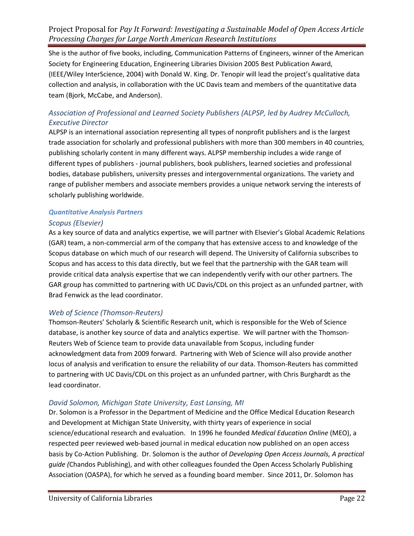She is the author of five books, including, Communication Patterns of Engineers, winner of the American Society for Engineering Education, Engineering Libraries Division 2005 Best Publication Award, (IEEE/Wiley InterScience, 2004) with Donald W. King. Dr. Tenopir will lead the project's qualitative data collection and analysis, in collaboration with the UC Davis team and members of the quantitative data team (Bjork, McCabe, and Anderson).

## *Association of Professional and Learned Society Publishers (ALPSP, led by Audrey McCulloch, Executive Director*

ALPSP is an international association representing all types of nonprofit publishers and is the largest trade association for scholarly and professional publishers with more than 300 members in 40 countries, publishing scholarly content in many different ways. ALPSP membership includes a wide range of different types of publishers - journal publishers, book publishers, learned societies and professional bodies, database publishers, university presses and intergovernmental organizations. The variety and range of publisher members and associate members provides a unique network serving the interests of scholarly publishing worldwide.

## *Quantitative Analysis Partners*

## *Scopus (Elsevier)*

As a key source of data and analytics expertise, we will partner with Elsevier's Global Academic Relations (GAR) team, a non-commercial arm of the company that has extensive access to and knowledge of the Scopus database on which much of our research will depend. The University of California subscribes to Scopus and has access to this data directly, but we feel that the partnership with the GAR team will provide critical data analysis expertise that we can independently verify with our other partners. The GAR group has committed to partnering with UC Davis/CDL on this project as an unfunded partner, with Brad Fenwick as the lead coordinator.

## *Web of Science (Thomson-Reuters)*

Thomson-Reuters' Scholarly & Scientific Research unit, which is responsible for the Web of Science database, is another key source of data and analytics expertise. We will partner with the Thomson-Reuters Web of Science team to provide data unavailable from Scopus, including funder acknowledgment data from 2009 forward. Partnering with Web of Science will also provide another locus of analysis and verification to ensure the reliability of our data. Thomson-Reuters has committed to partnering with UC Davis/CDL on this project as an unfunded partner, with Chris Burghardt as the lead coordinator.

## *David Solomon, Michigan State University, East Lansing, MI*

Dr. Solomon is a Professor in the Department of Medicine and the Office Medical Education Research and Development at Michigan State University, with thirty years of experience in social science/educational research and evaluation. In 1996 he founded *Medical Education Online* (MEO), a respected peer reviewed web-based journal in medical education now published on an open access basis by Co-Action Publishing. Dr. Solomon is the author of *Developing Open Access Journals, A practical guide (*Chandos Publishing), and with other colleagues founded the Open Access Scholarly Publishing Association (OASPA), for which he served as a founding board member. Since 2011, Dr. Solomon has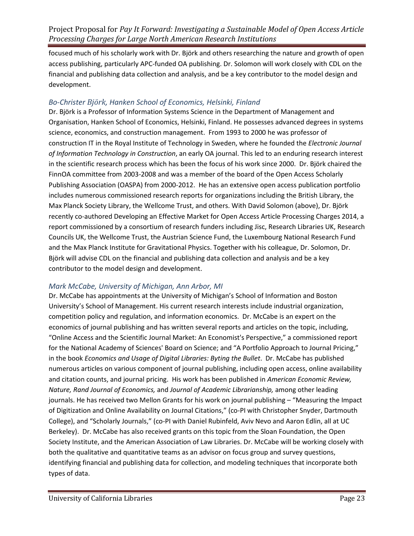focused much of his scholarly work with Dr. Björk and others researching the nature and growth of open access publishing, particularly APC-funded OA publishing. Dr. Solomon will work closely with CDL on the financial and publishing data collection and analysis, and be a key contributor to the model design and development.

## *Bo-Christer Björk, Hanken School of Economics, Helsinki, Finland*

Dr. Björk is a Professor of Information Systems Science in the Department of Management and Organisation, Hanken School of Economics, Helsinki, Finland. He possesses advanced degrees in systems science, economics, and construction management. From 1993 to 2000 he was professor of construction IT in the Royal Institute of Technology in Sweden, where he founded the *Electronic Journal of Information Technology in Construction*, an early OA journal. This led to an enduring research interest in the scientific research process which has been the focus of his work since 2000. Dr. Björk chaired the FinnOA committee from 2003-2008 and was a member of the board of the Open Access Scholarly Publishing Association (OASPA) from 2000-2012. He has an extensive open access publication portfolio includes numerous commissioned research reports for organizations including the British Library, the Max Planck Society Library, the Wellcome Trust, and others. With David Solomon (above), Dr. Björk recently co-authored Developing an Effective Market for Open Access Article Processing Charges 2014, a report commissioned by a consortium of research funders including Jisc, Research Libraries UK, Research Councils UK, the Wellcome Trust, the Austrian Science Fund, the Luxembourg National Research Fund and the Max Planck Institute for Gravitational Physics. Together with his colleague, Dr. Solomon, Dr. Björk will advise CDL on the financial and publishing data collection and analysis and be a key contributor to the model design and development.

## *Mark McCabe, University of Michigan, Ann Arbor, MI*

Dr. McCabe has appointments at the University of Michigan's School of Information and Boston University's School of Management. His current research interests include industrial organization, competition policy and regulation, and information economics. Dr. McCabe is an expert on the economics of journal publishing and has written several reports and articles on the topic, including, "Online Access and the Scientific Journal Market: An Economist's Perspective," a commissioned report for the National Academy of Sciences' Board on Science; and "A Portfolio Approach to Journal Pricing," in the book *Economics and Usage of Digital Libraries: Byting the Bullet*. Dr. McCabe has published numerous articles on various component of journal publishing, including open access, online availability and citation counts, and journal pricing. His work has been published in *American Economic Review, Nature, Rand Journal of Economics,* and *Journal of Academic Librarianship,* among other leading journals. He has received two Mellon Grants for his work on journal publishing – "Measuring the Impact of Digitization and Online Availability on Journal Citations," (co-PI with Christopher Snyder, Dartmouth College), and "Scholarly Journals," (co-PI with Daniel Rubinfeld, Aviv Nevo and Aaron Edlin, all at UC Berkeley). Dr. McCabe has also received grants on this topic from the Sloan Foundation, the Open Society Institute, and the American Association of Law Libraries. Dr. McCabe will be working closely with both the qualitative and quantitative teams as an advisor on focus group and survey questions, identifying financial and publishing data for collection, and modeling techniques that incorporate both types of data.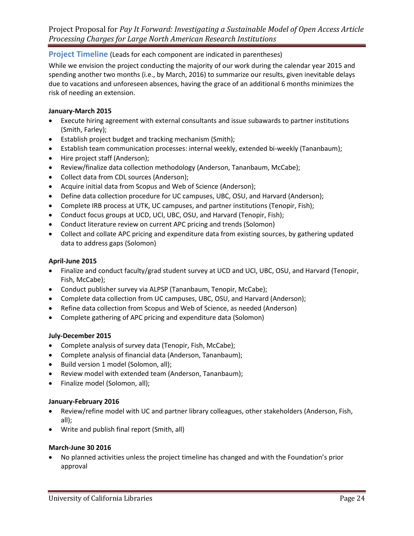## **Project Timeline** (Leads for each component are indicated in parentheses)

While we envision the project conducting the majority of our work during the calendar year 2015 and spending another two months (i.e., by March, 2016) to summarize our results, given inevitable delays due to vacations and unforeseen absences, having the grace of an additional 6 months minimizes the risk of needing an extension.

#### **January-March 2015**

- Execute hiring agreement with external consultants and issue subawards to partner institutions (Smith, Farley);
- Establish project budget and tracking mechanism (Smith);
- Establish team communication processes: internal weekly, extended bi-weekly (Tananbaum);
- Hire project staff (Anderson);
- Review/finalize data collection methodology (Anderson, Tananbaum, McCabe);
- Collect data from CDL sources (Anderson);
- Acquire initial data from Scopus and Web of Science (Anderson);
- Define data collection procedure for UC campuses, UBC, OSU, and Harvard (Anderson);
- Complete IRB process at UTK, UC campuses, and partner institutions (Tenopir, Fish);
- Conduct focus groups at UCD, UCI, UBC, OSU, and Harvard (Tenopir, Fish);
- Conduct literature review on current APC pricing and trends (Solomon)
- Collect and collate APC pricing and expenditure data from existing sources, by gathering updated data to address gaps (Solomon)

#### **April-June 2015**

- Finalize and conduct faculty/grad student survey at UCD and UCI, UBC, OSU, and Harvard (Tenopir, Fish, McCabe);
- Conduct publisher survey via ALPSP (Tananbaum, Tenopir, McCabe);
- Complete data collection from UC campuses, UBC, OSU, and Harvard (Anderson);
- Refine data collection from Scopus and Web of Science, as needed (Anderson)
- Complete gathering of APC pricing and expenditure data (Solomon)

## **July-December 2015**

- Complete analysis of survey data (Tenopir, Fish, McCabe);
- Complete analysis of financial data (Anderson, Tananbaum);
- Build version 1 model (Solomon, all);
- Review model with extended team (Anderson, Tananbaum);
- Finalize model (Solomon, all);

## **January-February 2016**

- Review/refine model with UC and partner library colleagues, other stakeholders (Anderson, Fish, all);
- Write and publish final report (Smith, all)

#### **March-June 30 2016**

• No planned activities unless the project timeline has changed and with the Foundation's prior approval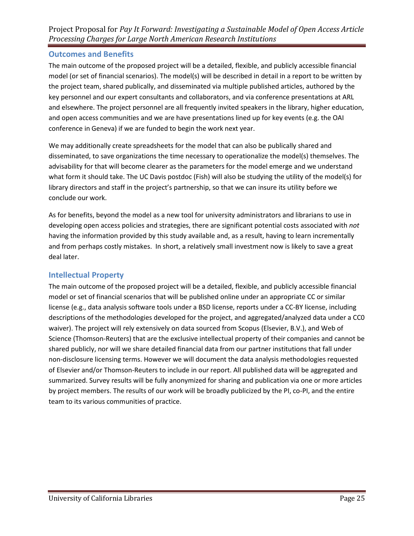## **Outcomes and Benefits**

The main outcome of the proposed project will be a detailed, flexible, and publicly accessible financial model (or set of financial scenarios). The model(s) will be described in detail in a report to be written by the project team, shared publically, and disseminated via multiple published articles, authored by the key personnel and our expert consultants and collaborators, and via conference presentations at ARL and elsewhere. The project personnel are all frequently invited speakers in the library, higher education, and open access communities and we are have presentations lined up for key events (e.g. the OAI conference in Geneva) if we are funded to begin the work next year.

We may additionally create spreadsheets for the model that can also be publically shared and disseminated, to save organizations the time necessary to operationalize the model(s) themselves. The advisability for that will become clearer as the parameters for the model emerge and we understand what form it should take. The UC Davis postdoc (Fish) will also be studying the utility of the model(s) for library directors and staff in the project's partnership, so that we can insure its utility before we conclude our work.

As for benefits, beyond the model as a new tool for university administrators and librarians to use in developing open access policies and strategies, there are significant potential costs associated with *not* having the information provided by this study available and, as a result, having to learn incrementally and from perhaps costly mistakes. In short, a relatively small investment now is likely to save a great deal later.

## **Intellectual Property**

The main outcome of the proposed project will be a detailed, flexible, and publicly accessible financial model or set of financial scenarios that will be published online under an appropriate CC or similar license (e.g., data analysis software tools under a BSD license, reports under a CC-BY license, including descriptions of the methodologies developed for the project, and aggregated/analyzed data under a CC0 waiver). The project will rely extensively on data sourced from Scopus (Elsevier, B.V.), and Web of Science (Thomson-Reuters) that are the exclusive intellectual property of their companies and cannot be shared publicly, nor will we share detailed financial data from our partner institutions that fall under non-disclosure licensing terms. However we will document the data analysis methodologies requested of Elsevier and/or Thomson-Reuters to include in our report. All published data will be aggregated and summarized. Survey results will be fully anonymized for sharing and publication via one or more articles by project members. The results of our work will be broadly publicized by the PI, co-PI, and the entire team to its various communities of practice.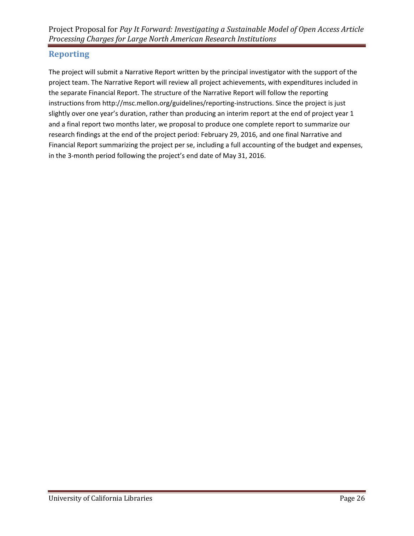# **Reporting**

The project will submit a Narrative Report written by the principal investigator with the support of the project team. The Narrative Report will review all project achievements, with expenditures included in the separate Financial Report. The structure of the Narrative Report will follow the reporting instructions from http://msc.mellon.org/guidelines/reporting-instructions. Since the project is just slightly over one year's duration, rather than producing an interim report at the end of project year 1 and a final report two months later, we proposal to produce one complete report to summarize our research findings at the end of the project period: February 29, 2016, and one final Narrative and Financial Report summarizing the project per se, including a full accounting of the budget and expenses, in the 3-month period following the project's end date of May 31, 2016.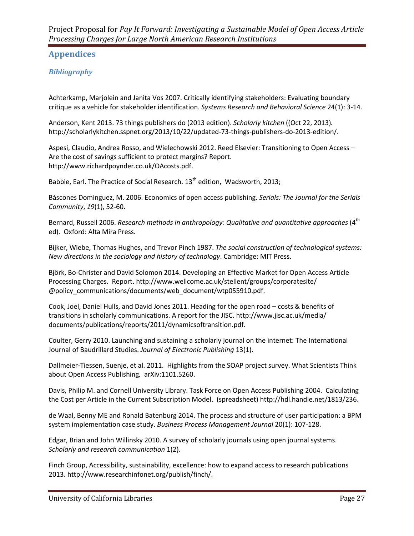# **Appendices**

# *Bibliography*

Achterkamp, Marjolein and Janita Vos 2007. Critically identifying stakeholders: Evaluating boundary critique as a vehicle for stakeholder identification. *Systems Research and Behavioral Science* 24(1): 3-14.

Anderson, Kent 2013. 73 things publishers do (2013 edition). *Scholarly kitchen* ((Oct 22, 2013)*.*  http://scholarlykitchen.sspnet.org/2013/10/22/updated-73-things-publishers-do-2013-edition/.

Aspesi, Claudio, Andrea Rosso, and Wielechowski 2012. Reed Elsevier: Transitioning to Open Access – Are the cost of savings sufficient to protect margins? Report. http://www.richardpoynder.co.uk/OAcosts.pdf.

Babbie, Earl. The Practice of Social Research. 13<sup>th</sup> edition, Wadsworth, 2013;

Báscones Dominguez, M. 2006. Economics of open access publishing. *Serials: The Journal for the Serials Community*, *19*(1), 52-60.

Bernard, Russell 2006. *Research methods in anthropology: Qualitative and quantitative approaches* (4<sup>th</sup> ed)*.* Oxford: Alta Mira Press.

Bijker, Wiebe, Thomas Hughes, and Trevor Pinch 1987. *The social construction of technological systems: New directions in the sociology and history of technology*. Cambridge: MIT Press.

Björk, Bo-Christer and David Solomon 2014. [Developing an Effective Market for Open Access Article](http://digital-scholarship.org/digitalkoans/2014/03/13/developing-an-effective-market-for-open-access-article-processing-charges/)  [Processing Charges.](http://digital-scholarship.org/digitalkoans/2014/03/13/developing-an-effective-market-for-open-access-article-processing-charges/) Report. http://www.wellcome.ac.uk/stellent/groups/corporatesite/ @policy\_communications/documents/web\_document/wtp055910.pdf.

Cook, Joel, Daniel Hulls, and David Jones 2011. Heading for the open road – costs & benefits of transitions in scholarly communications. A report for the JISC. http://www.jisc.ac.uk/media/ documents/publications/reports/2011/dynamicsoftransition.pdf.

Coulter, Gerry 2010. Launching and sustaining a scholarly journal on the internet: The International Journal of Baudrillard Studies. *Journal of Electronic Publishing* 13(1).

Dallmeier-Tiessen, Suenje, et al. 2011. Highlights from the SOAP project survey. What Scientists Think about Open Access Publishing*.* arXiv:1101.5260.

Davis, Philip M. and [Cornell University Library. Task Force on Open Access Publishing](http://dspace.library.cornell.edu/browse?type=author&value=Cornell+University+Library.+Task+Force++on+Open+Access+Publishing) 2004. Calculating the Cost per Article in the Current Subscription Model. (spreadsheet) http://hdl.handle.net/1813/236.

de Waal, Benny ME and Ronald Batenburg 2014. The process and structure of user participation: a BPM system implementation case study. *Business Process Management Journal* 20(1): 107-128.

Edgar, Brian and John Willinsky 2010. A survey of scholarly journals using open journal systems. *Scholarly and research communication* 1(2).

Finch Group, Accessibility, sustainability, excellence: how to expand access to research publications 2013. http://www.researchinfonet.org/publish/finch/.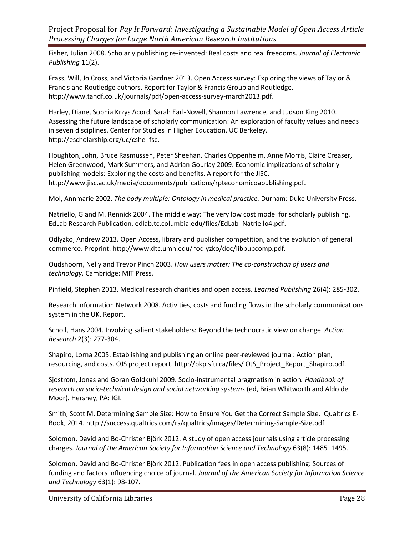Fisher, Julian 2008. Scholarly publishing re-invented: Real costs and real freedoms. *Journal of Electronic Publishing* 11(2).

Frass, Will, Jo Cross, and Victoria Gardner 2013. Open Access survey: Exploring the views of Taylor & Francis and Routledge authors. Report for Taylor & Francis Group and Routledge. http://www.tandf.co.uk/journals/pdf/open-access-survey-march2013.pdf.

Harley, Diane, Sophia Krzys Acord, Sarah Earl-Novell, Shannon Lawrence, and Judson King 2010. Assessing the future landscape of scholarly communication: An exploration of faculty values and needs in seven disciplines. Center for Studies in Higher Education, UC Berkeley. http://escholarship.org/uc/cshe\_fsc.

Houghton, John, Bruce Rasmussen, Peter Sheehan, Charles Oppenheim, Anne Morris, Claire Creaser, Helen Greenwood, Mark Summers, and Adrian Gourlay 2009. Economic implications of scholarly publishing models: Exploring the costs and benefits. A report for the JISC. http://www.jisc.ac.uk/media/documents/publications/rpteconomicoapublishing.pdf.

Mol, Annmarie 2002. *The body multiple: Ontology in medical practice.* Durham: Duke University Press.

Natriello, G and M. Rennick 2004. The middle way: The very low cost model for scholarly publishing. EdLab Research Publication. edlab.tc.columbia.edu/files/EdLab\_Natriello4.pdf.

Odlyzko, Andrew 2013. Open Access, library and publisher competition, and the evolution of general commerce. Preprint. http://www.dtc.umn.edu/~odlyzko/doc/libpubcomp.pdf.

Oudshoorn, Nelly and Trevor Pinch 2003. *How users matter: The co-construction of users and technology.* Cambridge: MIT Press.

Pinfield, Stephen 2013. Medical research charities and open access. *Learned Publishing* 26(4): 285-302.

Research Information Network 2008. Activities, costs and funding flows in the scholarly communications system in the UK. Report.

Scholl, Hans 2004. Involving salient stakeholders: Beyond the technocratic view on change. *Action Research* 2(3): 277-304.

Shapiro, Lorna 2005. Establishing and publishing an online peer-reviewed journal: Action plan, resourcing, and costs. OJS project report. http://pkp.sfu.ca/files/ OJS\_Project\_Report\_Shapiro.pdf.

Sjostrom, Jonas and Goran Goldkuhl 2009. Socio-instrumental pragmatism in action*. Handbook of*  research on socio-technical design and social networking systems (ed, Brian Whitworth and Aldo de Moor)*.* Hershey, PA: IGI.

Smith, Scott M. Determining Sample Size: How to Ensure You Get the Correct Sample Size. Qualtrics E-Book, 2014. http://success.qualtrics.com/rs/qualtrics/images/Determining-Sample-Size.pdf

Solomon, David and Bo-Christer Björk 2012. A study of open access journals using article processing charges. *Journal of the American Society for Information Science and Technology* 63(8): 1485–1495.

Solomon, David and Bo-Christer Björk 2012. Publication fees in open access publishing: Sources of funding and factors influencing choice of journal. *Journal of the American Society for Information Science and Technology* 63(1): 98-107.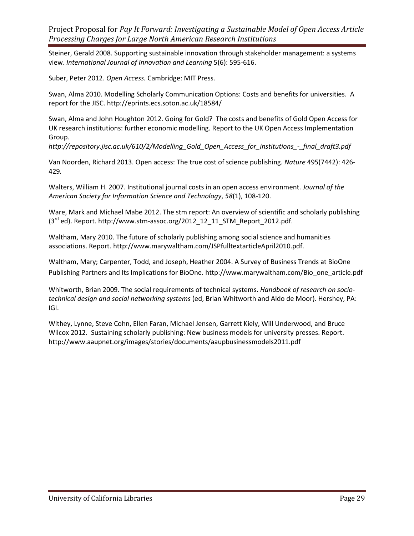Steiner, Gerald 2008. Supporting sustainable innovation through stakeholder management: a systems view. *International Journal of Innovation and Learning* 5(6): 595-616.

Suber, Peter 2012. *Open Access.* Cambridge: MIT Press.

Swan, Alma 2010. Modelling Scholarly Communication Options: Costs and benefits for universities. A report for the JISC. http://eprints.ecs.soton.ac.uk/18584/

Swan, [Alma and John Houghton](http://eprints.ecs.soton.ac.uk/18584/) 2012. Going for Gold? The costs and benefits of Gold Open Access for UK research institutions: further economic modelling. Report to the UK Open Access Implementation Group.

*http://repository.jisc.ac.uk/610/2/Modelling\_Gold\_Open\_Access\_for\_institutions\_-\_final\_draft3.pdf*

Van Noorden, Richard 2013. Open access: The true cost of science publishing. *Nature* 495(7442): 426- 429*.* 

Walters, William H. 2007. Institutional journal costs in an open access environment. *Journal of the American Society for Information Science and Technology*, *58*(1), 108-120.

Ware, Mark and Michael Mabe 2012. The stm report: An overview of scientific and scholarly publishing  $(3<sup>rd</sup>$  ed). Report. http://www.stm-assoc.org/2012\_12\_11\_STM\_Report\_2012.pdf.

Waltham, Mary 2010. The future of scholarly publishing among social science and humanities associations. Report. http://www.marywaltham.com/JSPfulltextarticleApril2010.pdf.

Waltham, Mary; Carpenter, Todd, and Joseph, Heather 2004. A Survey of Business Trends at BioOne Publishing Partners and Its Implications for BioOne. http://www.marywaltham.com/Bio\_one\_article.pdf

Whitworth, Brian 2009. The social requirements of technical systems. *Handbook of research on sociotechnical design and social networking systems* (ed, Brian Whitworth and Aldo de Moor)*.* Hershey, PA: IGI.

Withey, Lynne, Steve Cohn, Ellen Faran, Michael Jensen, Garrett Kiely, Will Underwood, and Bruce Wilcox 2012. Sustaining scholarly publishing: New business models for university presses. Report. http://www.aaupnet.org/images/stories/documents/aaupbusinessmodels2011.pdf